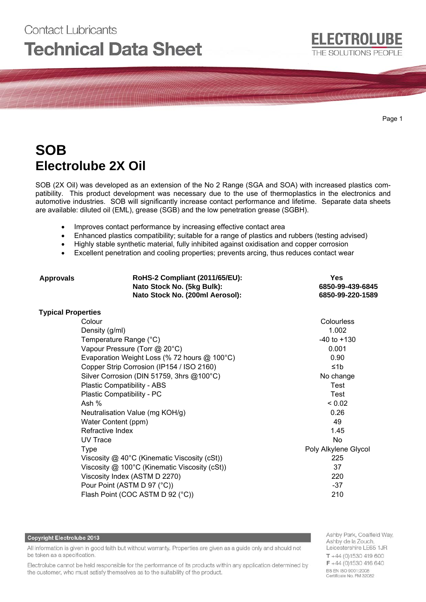# Contact Lubricants **Technical Data Sheet**

Page 1

# **SOB Electrolube 2X Oil**

SOB (2X Oil) was developed as an extension of the No 2 Range (SGA and SOA) with increased plastics compatibility. This product development was necessary due to the use of thermoplastics in the electronics and automotive industries. SOB will significantly increase contact performance and lifetime. Separate data sheets are available: diluted oil (EML), grease (SGB) and the low penetration grease (SGBH).

- Improves contact performance by increasing effective contact area
- Enhanced plastics compatibility; suitable for a range of plastics and rubbers (testing advised)
- Highly stable synthetic material, fully inhibited against oxidisation and copper corrosion
- Excellent penetration and cooling properties; prevents arcing, thus reduces contact wear

| <b>Approvals</b>          | RoHS-2 Compliant (2011/65/EU):<br>Nato Stock No. (5kg Bulk):<br>Nato Stock No. (200ml Aerosol): | Yes<br>6850-99-439-6845<br>6850-99-220-1589 |
|---------------------------|-------------------------------------------------------------------------------------------------|---------------------------------------------|
| <b>Typical Properties</b> |                                                                                                 |                                             |
|                           | Colour                                                                                          | Colourless                                  |
|                           | Density (g/ml)                                                                                  | 1.002                                       |
|                           | Temperature Range (°C)                                                                          | $-40$ to $+130$                             |
|                           | Vapour Pressure (Torr @ 20°C)                                                                   | 0.001                                       |
|                           | Evaporation Weight Loss (% 72 hours @ 100°C)                                                    | 0.90                                        |
|                           | Copper Strip Corrosion (IP154 / ISO 2160)                                                       | $\leq 1$ b                                  |
|                           | Silver Corrosion (DIN 51759, 3hrs @100°C)                                                       | No change                                   |
|                           | Plastic Compatibility - ABS                                                                     | <b>Test</b>                                 |
|                           | Plastic Compatibility - PC                                                                      | <b>Test</b>                                 |
|                           | Ash $%$                                                                                         | < 0.02                                      |
|                           | Neutralisation Value (mg KOH/g)                                                                 | 0.26                                        |
|                           | Water Content (ppm)                                                                             | 49                                          |
|                           | Refractive Index                                                                                | 1.45                                        |
|                           | UV Trace                                                                                        | <b>No</b>                                   |
|                           | <b>Type</b>                                                                                     | Poly Alkylene Glycol                        |
|                           | Viscosity $@$ 40°C (Kinematic Viscosity (cSt))                                                  | 225                                         |
|                           | Viscosity @ 100°C (Kinematic Viscosity (cSt))                                                   | 37                                          |
|                           | Viscosity Index (ASTM D 2270)                                                                   | 220                                         |
|                           | Pour Point (ASTM D 97 (°C))                                                                     | $-37$                                       |
|                           | Flash Point (COC ASTM D 92 (°C))                                                                | 210                                         |
|                           |                                                                                                 |                                             |

### **Copyright Electrolube 2013**

All information is given in good faith but without warranty. Properties are given as a guide only and should not be taken as a specification.

Electrolube cannot be held responsible for the performance of its products within any application determined by the customer, who must satisfy themselves as to the suitability of the product.

Ashby Park, Coalfield Way, Ashby de la Zouch, Leicestershire LE65 1JR  $T + 44(0)1530419600$  $F + 44(0)1530416640$ BS EN ISO 9001:2008 Certificate No. FM 32082